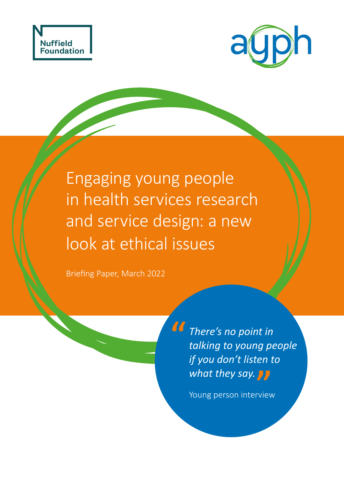



Engaging young people in health services research and service design: a new look at ethical issues

**"**

Briefing Paper, March 2022

**"** *what they say. There's no point in talking to young people if you don't listen to* 

Young person interview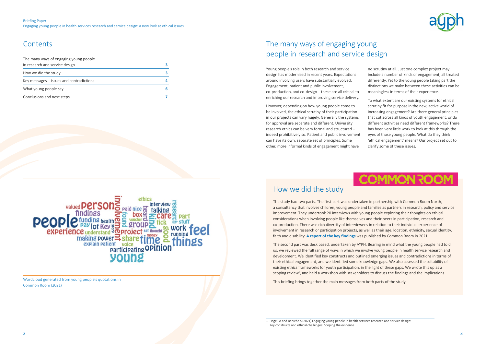| The many ways of engaging young people     |   |
|--------------------------------------------|---|
| in research and service design             |   |
| How we did the study                       |   |
| Key messages $-$ issues and contradictions |   |
| What young people say                      | 6 |
| Conclusions and next steps                 |   |



Young people's role in both research and service design has modernised in recent years. Expectations around involving users have substantially evolved. Engagement, patient and public involvement, co-production, and co-design – these are all critical to enriching our research and improving service delivery.

However, depending on how young people come to be involved, the ethical scrutiny of their participation in our projects can vary hugely. Generally the systems for approval are separate and different. University research ethics can be very formal and structured – indeed prohibitively so. Patient and public involvement can have its own, separate set of principles. Some other, more informal kinds of engagement might have

![](_page_1_Picture_6.jpeg)

no scrutiny at all. Just one complex project may include a number of kinds of engagement, all treated differently. Yet to the young people taking part the distinctions we make between these activities can be meaningless in terms of their experience.

The second part was desk based, undertaken by AYPH. Bearing in mind what the young people had told us, we reviewed the full range of ways in which we involve young people in health service research and development. We identified key constructs and outlined emerging issues and contradictions in terms of their ethical engagement, and we identified some knowledge gaps. We also assessed the suitability of existing ethics frameworks for youth participation, in the light of these gaps. We wrote this up as a scoping review<sup>1</sup>, and held a workshop with stakeholders to discuss the findings and the implications.

To what extent are our existing systems for ethical scrutiny fit for purpose in the new, active world of increasing engagement? Are there general principles that cut across all kinds of youth engagement, or do different activities need different frameworks? There has been very little work to look at this through the eyes of those young people. What do they think 'ethical engagement' means? Our project set out to clarify some of these issues.

# **MMON 30**

### Briefing Paper: Engaging young people in health services research and service design: a new look at ethical issues

Wordcloud generated from young people's quotations in [Common Room \(2021\)](https://irp-cdn.multiscreensite.com/29f8e96e/files/uploaded/Ethics%20in%20YP%20participation%20and%20research%20CommonRoom.pdf)

![](_page_1_Picture_15.jpeg)

## How we did the study

The study had two parts. The first part was undertaken in partnership with Common Room North, a consultancy that involves children, young people and families as partners in research, policy and service improvement. They undertook 20 interviews with young people exploring their thoughts on ethical considerations when involving people like themselves and their peers in participation, research and co-production. There was rich diversity of interviewees in relation to their individual experience of involvement in research or participation projects, as well as their age, location, ethnicity, sexual identity, faith and disability. **[A report of the key findings](https://irp-cdn.multiscreensite.com/29f8e96e/files/uploaded/Ethics%20in%20YP%20participation%20and%20research%20CommonRoom.pdf)** was published by Common Room in 2021.

This briefing brings together the main messages from both parts of the study.

1 Hagell A and Beniche S (2021) Engaging young people in health services research and service design: Key constructs and ethical challenges: Scoping the evidence

![](_page_1_Picture_12.jpeg)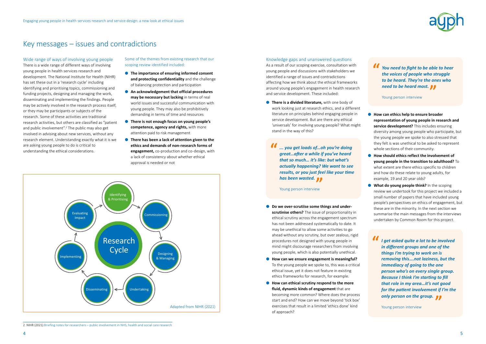# <span id="page-2-0"></span>Key messages – issues and contradictions

### Wide range of ways of involving young people

There is a wide range of different ways of involving young people in health services research and development. The National Institute for Health (NIHR) has set these out in a 'research cycle' including identifying and prioritising topics, commissioning and funding projects, designing and managing the work, disseminating and implementing the findings. People may be actively involved in the research process itself, or they may be participants or subjects of the research. Some of these activities are traditional research activities, but others are classified as "patient and public involvement".<sup>2</sup> The public may also get involved in advising about new services, without any research element. Understanding exactly what it is we are asking young people to do is critical to understanding the ethical considerations.

Some of the themes from existing research that our scoping review identified included:

> **• There is a divided literature,** with one body of work looking just at research ethics, and a different literature on principles behind engaging people in service development. But are there any ethical 'universals' for involving young people? What might stand in the way of this?

- **The importance of ensuring informed consent and protecting confidentiality** and the challenge of balancing protection and participation
- **●** An acknowledgement that official procedures **may be necessary but lacking** in terms of real world issues and successful communication with young people. They may also be prohibitively demanding in terms of time and resources
- **There is not enough focus on young people's competence, agency and rights,** with more attention paid to risk management
- **There has been a lack of attention given to the ethics and demands of non-research forms of engagement,** co-production and co-design, with a lack of consistency about whether ethical approval is needed or not

- Do we over-scrutiise some things and under**scrutinise others?** The issue of proportionality in ethical scrutiny across the engagement spectrum has not been addressed systematically to date. It may be unethical to allow some activities to go ahead without any scrutiny, but over zealous, rigid procedures not designed with young people in mind might discourage researchers from involving young people, which is also potentially unethical.
- **How can we ensure engagement is meaningful?** To the young people we spoke to, this was a critical ethical issue, yet it does not feature in existing ethics frameworks for research, for example.
- **How can ethical scrutiny respond to the more fluid, dynamic kinds of engagement** that are becoming more common? Where does the process start and end? How can we move beyond 'tick box' exercises that result in a limited 'ethics done' kind of approach?

![](_page_2_Picture_20.jpeg)

### Knowledge gaps and unanswered questions

As a result of our scoping exercise, consultation with young people and discussions with stakeholders we identified a range of issues and contradictions affecting how we think about the ethical frameworks around young people's engagement in health research and service development. These included:

![](_page_2_Figure_9.jpeg)

<sup>2</sup> NIHR (2021) [Briefing notes for researchers – public involvement in NHS, health and social care research](https://www.nihr.ac.uk/documents/briefing-notes-for-researchers-public-involvement-in-nhs-health-and-social-care-research/27371)

● **How can ethics help to ensure broader representation of young people in research and service development?** This includes ensuring diversity among young people who participate, but the young people we spoke to also stressed that they felt is was unethical to be asked to represent whole sections of their community.

- **How should ethics reflect the involvement of young people in the transition to adulthood?** To what extent are there ethics specific to children and how do these relate to young adults, for example, 19 and 20 year olds?
- **What do young people think?** In the scoping review we undertook for this project we included a small number of papers that have included young people's perspectives on ethics of engagement, but these are in the minority. In the next section we summarise the main messages from the interviews undertaken by Common Room for this project.

**" has been wasted.**<br>Young person interview *... you get loads of…oh you're doing great…after a while if you've heard that so much… it's like: but what's actually happening? We want to see results, or you just feel like your time* 

Young person interview

**" need to be heard most.**<br> **Propriet interview**<br> **Young person interview** *You need to fight to be able to hear the voices of people who struggle to be heard. They're the ones who* 

Young person interview

**" Only person on the group.**<br> **The young person interview** *I get asked quite a lot to be involved in different groups and one of the things I'm trying to work on is removing this….not laziness, but the immediacy of going to the one person who's on every single group. Because I think I'm starting to fill that role in my area…it's not good for the patient involvement if I'm the* 

Young person interview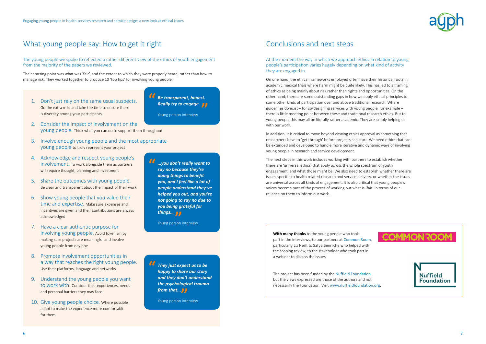![](_page_3_Picture_28.jpeg)

![](_page_3_Picture_30.jpeg)

The young people we spoke to reflected a rather different view of the ethics of youth engagement from the majority of the papers we reviewed.

Their starting point was what was 'fair', and the extent to which they were properly heard, rather than how to manage risk. They worked together to produce 10 'top tips' for involving young people:

At the moment the way in which we approach ethics in relation to young people's participation varies hugely depending on what kind of activity they are engaged in.

On one hand, the ethical frameworks employed often have their historical roots in academic medical trials where harm might be quite likely. This has led to a framing of ethics as being mainly about risk rather than rights and opportunities. On the other hand, there are some outstanding gaps in how we apply ethical principles to some other kinds of participation over and above traditional research. Where guidelines do exist – for co-designing services with young people, for example – there is little meeting point between these and traditional research ethics. But to young people this may all be literally rather academic. They are simply helping us with our work.

In addition, it is critical to move beyond viewing ethics approval as something that researchers have to 'get through' before projects can start. We need ethics that can be extended and developed to handle more iterative and dynamic ways of involving young people in research and service development.

The next steps in this work includes working with partners to establish whether there are 'universal ethics' that apply across the whole spectrum of youth engagement, and what those might be. We also need to establish whether there are issues specific to health related research and service delivery, or whether the issues are universal across all kinds of engagement. It is also critical that young people's voices become part of the process of working out what is 'fair' in terms of our reliance on them to inform our work.

**With many thanks** to the young people who took part in the interviews, to our partners at [Common Room](http://commonroom.uk.com/), particularly Liz Neill, to Safya Benniche who helped with the scoping review, to the stakeholder who took part in a webinar to discuss the issues.

The project has been funded by the [Nuffield Foundation](https://www.nuffieldfoundation.org/), but the views expressed are those of the authors and not necessarily the Foundation. Visit [www.nuffieldfoundation.org](https://www.nuffieldfoundation.org/).

# <span id="page-3-0"></span>What young people say: How to get it right Conclusions and next steps

1. Don't just rely on the same usual suspects. Go the extra mile and take the time to ensure there is diversity among your participants

- 2. Consider the impact of involvement on the young people. Think what you can do to support them throughout
- 3. Involve enough young people and the most appropriate young people to truly represent your project
- 4. Acknowledge and respect young people's involvement. To work alongside them as partners will require thought, planning and investment
- 5. Share the outcomes with young people. Be clear and transparent about the impact of their work
- 6. Show young people that you value their time and expertise. Make sure expenses and incentives are given and their contributions are always acknowledged
- 7. Have a clear authentic purpose for involving young people. Avoid tokenism by making sure projects are meaningful and involve young people from day one
- 8. Promote involvement opportunities in a way that reaches the right young people. Use their platforms, language and networks
- 9. Understand the young people you want to work with. Consider their experiences, needs and personal barriers they may face
- 10. Give young people choice. Where possible adapt to make the experience more comfortable for them.

**" Really try to engage.**<br>Young person interview *Be transparent, honest.* 

Young person interview

**" from that... OF**<br>Young person inte *They just expect us to be happy to share our story and they don't understand the psychological trauma* 

Young person interview

**"**

**"** *things… …you don't really want to say no because they're doing things to benefit you, and I feel like a lot of people understand they've helped you out, and you're not going to say no due to you being grateful for* 

Young person interview